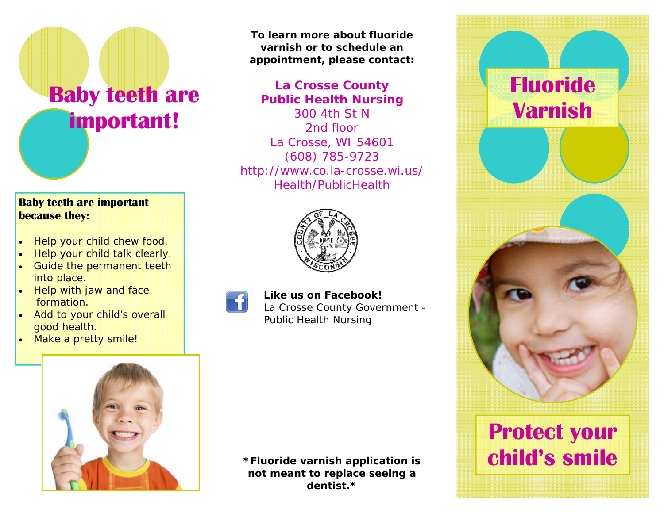# **Baby teeth are important!**

### **Baby teeth are important because they:**

- $\bullet$ Help your child chew food.
- $\bullet$ Help your child talk clearly.
- $\bullet$  Guide the permanent teeth into place.
- $\bullet$  Help with jaw and face formation.
- Add to your child's overall good health.
- $\bullet$ Make a pretty smile!



### **La Crosse County Public Health Nursing**

300 4th St N 2nd floor La Crosse, WI 54601 (608) 785-9723 http://www.co.la-crosse.wi.us/ Health/PublicHealth





## **Like us on Facebook!**

La Crosse County Government - Public Health Nursing



# **Fluoride Varnish**

# **Protect your child's smile**